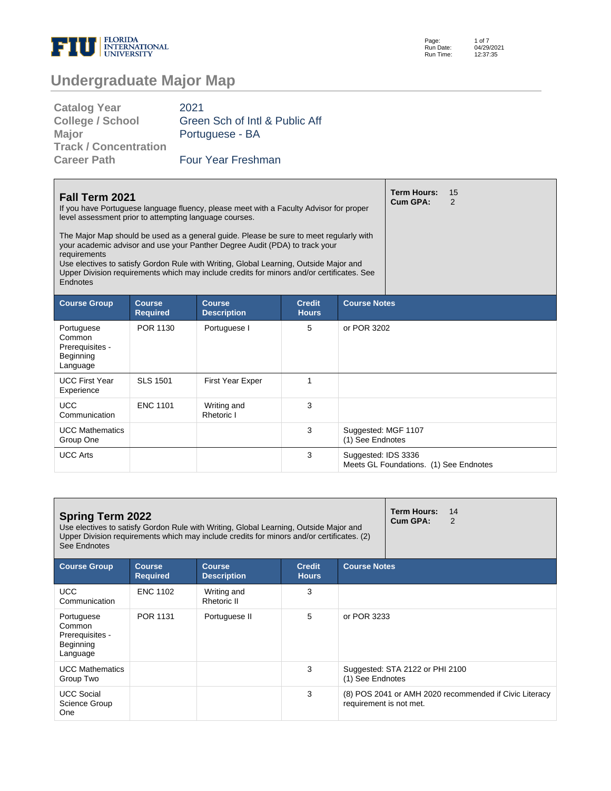

Page: Run Date: Run Time: 1 of 7 04/29/2021 12:37:35

| <b>Catalog Year</b>          | 2021                           |
|------------------------------|--------------------------------|
| <b>College / School</b>      | Green Sch of Intl & Public Aff |
| <b>Major</b>                 | Portuguese - BA                |
| <b>Track / Concentration</b> |                                |
| <b>Career Path</b>           | <b>Four Year Freshman</b>      |
|                              |                                |

| Fall Term 2021<br>If you have Portuguese language fluency, please meet with a Faculty Advisor for proper<br>level assessment prior to attempting language courses.<br>The Major Map should be used as a general guide. Please be sure to meet regularly with<br>your academic advisor and use your Panther Degree Audit (PDA) to track your<br>requirements |                                  |                                     |                               |                                         | <b>Term Hours:</b><br>Cum GPA:         | 15<br>$\mathcal{P}$ |
|-------------------------------------------------------------------------------------------------------------------------------------------------------------------------------------------------------------------------------------------------------------------------------------------------------------------------------------------------------------|----------------------------------|-------------------------------------|-------------------------------|-----------------------------------------|----------------------------------------|---------------------|
| Use electives to satisfy Gordon Rule with Writing, Global Learning, Outside Major and<br>Upper Division requirements which may include credits for minors and/or certificates. See<br>Endnotes                                                                                                                                                              |                                  |                                     |                               |                                         |                                        |                     |
| <b>Course Group</b>                                                                                                                                                                                                                                                                                                                                         | <b>Course</b><br><b>Required</b> | <b>Course</b><br><b>Description</b> | <b>Credit</b><br><b>Hours</b> | <b>Course Notes</b>                     |                                        |                     |
| Portuguese<br>Common<br>Prerequisites -<br>Beginning<br>Language                                                                                                                                                                                                                                                                                            | POR 1130                         | Portuguese I                        | 5                             | or POR 3202                             |                                        |                     |
| <b>UCC First Year</b><br>Experience                                                                                                                                                                                                                                                                                                                         | <b>SLS 1501</b>                  | First Year Exper                    | 1                             |                                         |                                        |                     |
| <b>UCC</b><br>Communication                                                                                                                                                                                                                                                                                                                                 | <b>ENC 1101</b>                  | Writing and<br>Rhetoric I           | 3                             |                                         |                                        |                     |
| <b>UCC Mathematics</b><br>Group One                                                                                                                                                                                                                                                                                                                         |                                  |                                     | 3                             | Suggested: MGF 1107<br>(1) See Endnotes |                                        |                     |
| <b>UCC Arts</b>                                                                                                                                                                                                                                                                                                                                             |                                  |                                     | 3                             | Suggested: IDS 3336                     | Meets GL Foundations. (1) See Endnotes |                     |

| <b>Spring Term 2022</b><br>Use electives to satisfy Gordon Rule with Writing, Global Learning, Outside Major and<br>Upper Division requirements which may include credits for minors and/or certificates. (2)<br>See Endnotes |                                  |                                     |                               |                         | <b>Term Hours:</b><br>14<br>Cum GPA:<br>$\mathcal{P}$  |
|-------------------------------------------------------------------------------------------------------------------------------------------------------------------------------------------------------------------------------|----------------------------------|-------------------------------------|-------------------------------|-------------------------|--------------------------------------------------------|
| <b>Course Group</b>                                                                                                                                                                                                           | <b>Course</b><br><b>Required</b> | <b>Course</b><br><b>Description</b> | <b>Credit</b><br><b>Hours</b> | <b>Course Notes</b>     |                                                        |
| <b>UCC</b><br>Communication                                                                                                                                                                                                   | <b>ENC 1102</b>                  | Writing and<br><b>Rhetoric II</b>   | 3                             |                         |                                                        |
| Portuguese<br>Common<br>Prerequisites -<br>Beginning<br>Language                                                                                                                                                              | POR 1131                         | Portuguese II                       | 5                             | or POR 3233             |                                                        |
| <b>UCC Mathematics</b><br>Group Two                                                                                                                                                                                           |                                  |                                     | 3                             | (1) See Endnotes        | Suggested: STA 2122 or PHI 2100                        |
| <b>UCC Social</b><br>Science Group<br>One                                                                                                                                                                                     |                                  |                                     | 3                             | requirement is not met. | (8) POS 2041 or AMH 2020 recommended if Civic Literacy |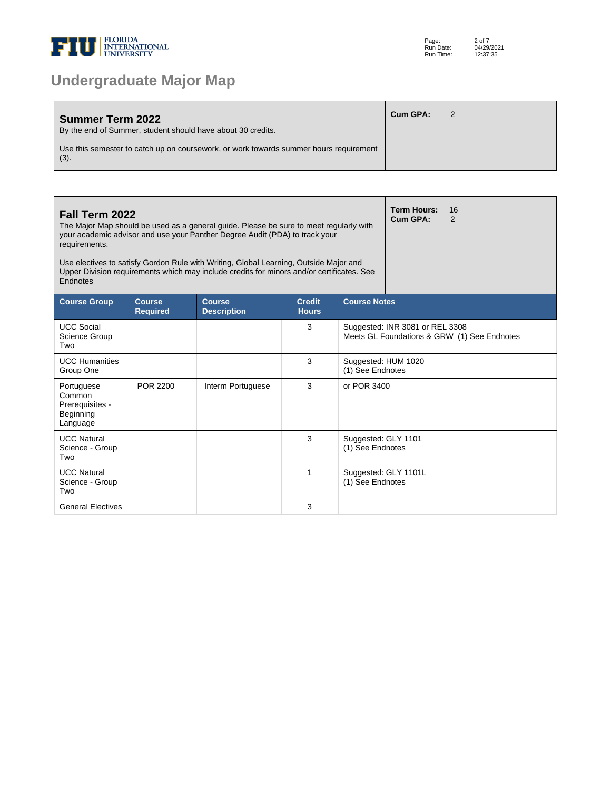

| <b>Summer Term 2022</b><br>By the end of Summer, student should have about 30 credits.           | Cum GPA: |  |
|--------------------------------------------------------------------------------------------------|----------|--|
| Use this semester to catch up on coursework, or work towards summer hours requirement<br>$(3)$ . |          |  |

| Fall Term 2022<br>The Major Map should be used as a general guide. Please be sure to meet regularly with<br>your academic advisor and use your Panther Degree Audit (PDA) to track your<br>requirements.<br>Use electives to satisfy Gordon Rule with Writing, Global Learning, Outside Major and<br>Upper Division requirements which may include credits for minors and/or certificates. See<br>Endnotes |                                  |                                     |                               |                                         | <b>Term Hours:</b><br>16<br>Cum GPA:<br>$\overline{2}$                         |  |  |
|------------------------------------------------------------------------------------------------------------------------------------------------------------------------------------------------------------------------------------------------------------------------------------------------------------------------------------------------------------------------------------------------------------|----------------------------------|-------------------------------------|-------------------------------|-----------------------------------------|--------------------------------------------------------------------------------|--|--|
| <b>Course Group</b>                                                                                                                                                                                                                                                                                                                                                                                        | <b>Course</b><br><b>Required</b> | <b>Course</b><br><b>Description</b> | <b>Credit</b><br><b>Hours</b> | <b>Course Notes</b>                     |                                                                                |  |  |
| <b>UCC Social</b><br>Science Group<br>Two                                                                                                                                                                                                                                                                                                                                                                  |                                  |                                     | 3                             |                                         | Suggested: INR 3081 or REL 3308<br>Meets GL Foundations & GRW (1) See Endnotes |  |  |
| <b>UCC Humanities</b><br>Group One                                                                                                                                                                                                                                                                                                                                                                         |                                  |                                     | 3                             | Suggested: HUM 1020<br>(1) See Endnotes |                                                                                |  |  |
| Portuguese<br>Common<br>Prerequisites -<br>Beginning<br>Language                                                                                                                                                                                                                                                                                                                                           | POR 2200                         | Interm Portuguese                   | 3                             | or POR 3400                             |                                                                                |  |  |
| <b>UCC Natural</b><br>Science - Group<br>Two                                                                                                                                                                                                                                                                                                                                                               |                                  |                                     | 3                             | Suggested: GLY 1101<br>(1) See Endnotes |                                                                                |  |  |
| <b>UCC Natural</b><br>Science - Group<br>Two                                                                                                                                                                                                                                                                                                                                                               |                                  |                                     | 1                             | (1) See Endnotes                        | Suggested: GLY 1101L                                                           |  |  |
| <b>General Electives</b>                                                                                                                                                                                                                                                                                                                                                                                   |                                  |                                     | 3                             |                                         |                                                                                |  |  |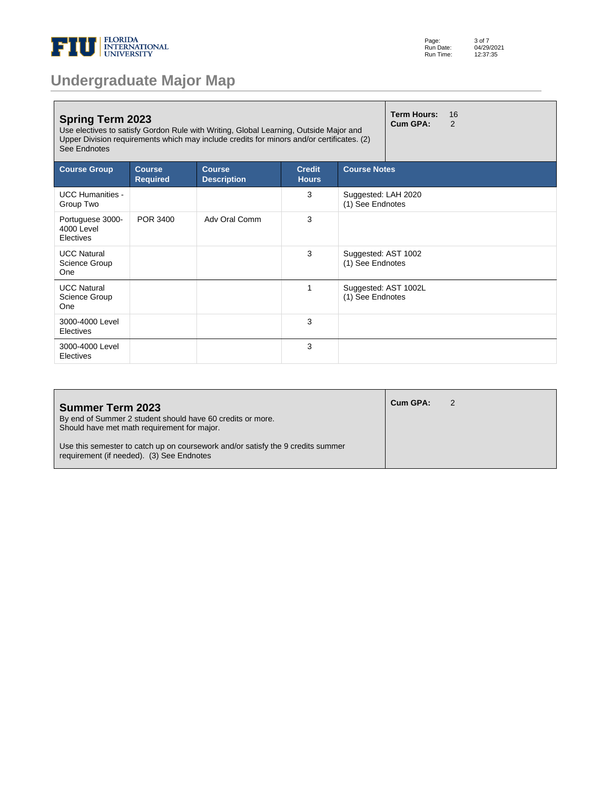

| <b>Undergraduate Major Map</b> |  |  |
|--------------------------------|--|--|
|--------------------------------|--|--|

| <b>Spring Term 2023</b><br>Use electives to satisfy Gordon Rule with Writing, Global Learning, Outside Major and<br>Upper Division requirements which may include credits for minors and/or certificates. (2)<br>See Endnotes |                                  |                                     |                               |                                          | <b>Term Hours:</b><br>Cum GPA: | 16<br>$\mathcal{P}$ |
|-------------------------------------------------------------------------------------------------------------------------------------------------------------------------------------------------------------------------------|----------------------------------|-------------------------------------|-------------------------------|------------------------------------------|--------------------------------|---------------------|
| <b>Course Group</b>                                                                                                                                                                                                           | <b>Course</b><br><b>Required</b> | <b>Course</b><br><b>Description</b> | <b>Credit</b><br><b>Hours</b> | <b>Course Notes</b>                      |                                |                     |
| <b>UCC Humanities -</b><br>Group Two                                                                                                                                                                                          |                                  |                                     | 3                             | Suggested: LAH 2020<br>(1) See Endnotes  |                                |                     |
| Portuguese 3000-<br>4000 Level<br>Electives                                                                                                                                                                                   | POR 3400                         | Adv Oral Comm                       | 3                             |                                          |                                |                     |
| <b>UCC Natural</b><br>Science Group<br>One                                                                                                                                                                                    |                                  |                                     | 3                             | Suggested: AST 1002<br>(1) See Endnotes  |                                |                     |
| <b>UCC Natural</b><br>Science Group<br>One                                                                                                                                                                                    |                                  |                                     | 1                             | Suggested: AST 1002L<br>(1) See Endnotes |                                |                     |
| 3000-4000 Level<br>Electives                                                                                                                                                                                                  |                                  |                                     | 3                             |                                          |                                |                     |
| 3000-4000 Level<br>Electives                                                                                                                                                                                                  |                                  |                                     | 3                             |                                          |                                |                     |

| <b>Summer Term 2023</b><br>By end of Summer 2 student should have 60 credits or more.<br>Should have met math requirement for major. | Cum GPA: |  |
|--------------------------------------------------------------------------------------------------------------------------------------|----------|--|
| Use this semester to catch up on coursework and/or satisfy the 9 credits summer<br>requirement (if needed). (3) See Endnotes         |          |  |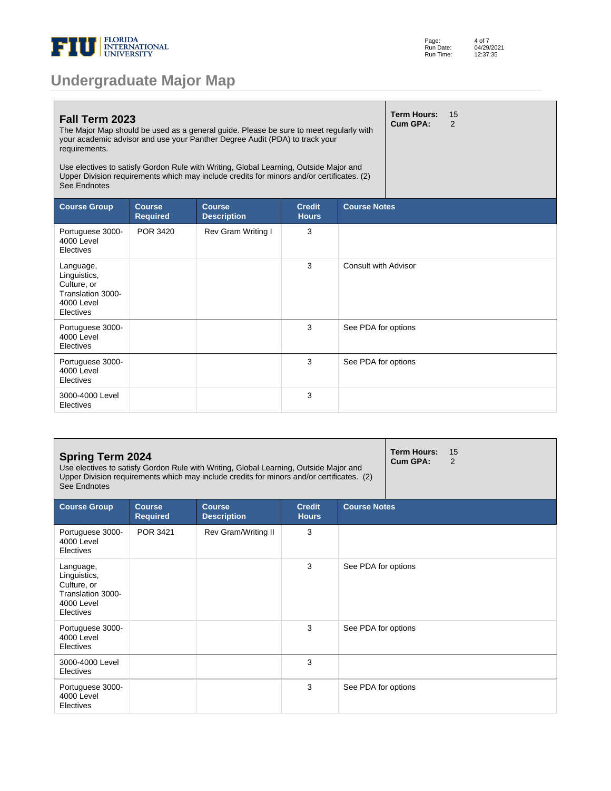

| <b>Term Hours:</b><br>15<br>Fall Term 2023<br>Cum GPA:<br>2<br>The Major Map should be used as a general guide. Please be sure to meet regularly with<br>your academic advisor and use your Panther Degree Audit (PDA) to track your<br>requirements.<br>Use electives to satisfy Gordon Rule with Writing, Global Learning, Outside Major and<br>Upper Division requirements which may include credits for minors and/or certificates. (2)<br>See Endnotes |                                  |                                     |                               |                      |  |  |
|-------------------------------------------------------------------------------------------------------------------------------------------------------------------------------------------------------------------------------------------------------------------------------------------------------------------------------------------------------------------------------------------------------------------------------------------------------------|----------------------------------|-------------------------------------|-------------------------------|----------------------|--|--|
| <b>Course Group</b>                                                                                                                                                                                                                                                                                                                                                                                                                                         | <b>Course</b><br><b>Required</b> | <b>Course</b><br><b>Description</b> | <b>Credit</b><br><b>Hours</b> | <b>Course Notes</b>  |  |  |
| Portuguese 3000-<br>4000 Level<br>Electives                                                                                                                                                                                                                                                                                                                                                                                                                 | POR 3420                         | Rev Gram Writing I                  | 3                             |                      |  |  |
| Language,<br>Linguistics,<br>Culture, or<br>Translation 3000-<br>4000 Level<br>Electives                                                                                                                                                                                                                                                                                                                                                                    |                                  |                                     | 3                             | Consult with Advisor |  |  |
| Portuguese 3000-<br><b>4000 Level</b><br>Electives                                                                                                                                                                                                                                                                                                                                                                                                          |                                  |                                     | 3                             | See PDA for options  |  |  |
| Portuguese 3000-<br>4000 Level<br>Electives                                                                                                                                                                                                                                                                                                                                                                                                                 |                                  |                                     | 3                             | See PDA for options  |  |  |
| 3000-4000 Level<br>Electives                                                                                                                                                                                                                                                                                                                                                                                                                                |                                  |                                     | 3                             |                      |  |  |

| <b>Spring Term 2024</b><br>Use electives to satisfy Gordon Rule with Writing, Global Learning, Outside Major and<br>Upper Division requirements which may include credits for minors and/or certificates. (2)<br>See Endnotes |                                  |                                     |                               |                     | <b>Term Hours:</b><br>Cum GPA: | 15<br>2 |
|-------------------------------------------------------------------------------------------------------------------------------------------------------------------------------------------------------------------------------|----------------------------------|-------------------------------------|-------------------------------|---------------------|--------------------------------|---------|
| <b>Course Group</b>                                                                                                                                                                                                           | <b>Course</b><br><b>Required</b> | <b>Course</b><br><b>Description</b> | <b>Credit</b><br><b>Hours</b> | <b>Course Notes</b> |                                |         |
| Portuguese 3000-<br>4000 Level<br>Electives                                                                                                                                                                                   | POR 3421                         | Rev Gram/Writing II                 | 3                             |                     |                                |         |
| Language,<br>Linguistics,<br>Culture, or<br>Translation 3000-<br>4000 Level<br>Electives                                                                                                                                      |                                  |                                     | 3                             | See PDA for options |                                |         |
| Portuguese 3000-<br>4000 Level<br>Electives                                                                                                                                                                                   |                                  |                                     | 3                             | See PDA for options |                                |         |
| 3000-4000 Level<br>Electives                                                                                                                                                                                                  |                                  |                                     | 3                             |                     |                                |         |
| Portuguese 3000-<br>4000 Level<br>Electives                                                                                                                                                                                   |                                  |                                     | 3                             | See PDA for options |                                |         |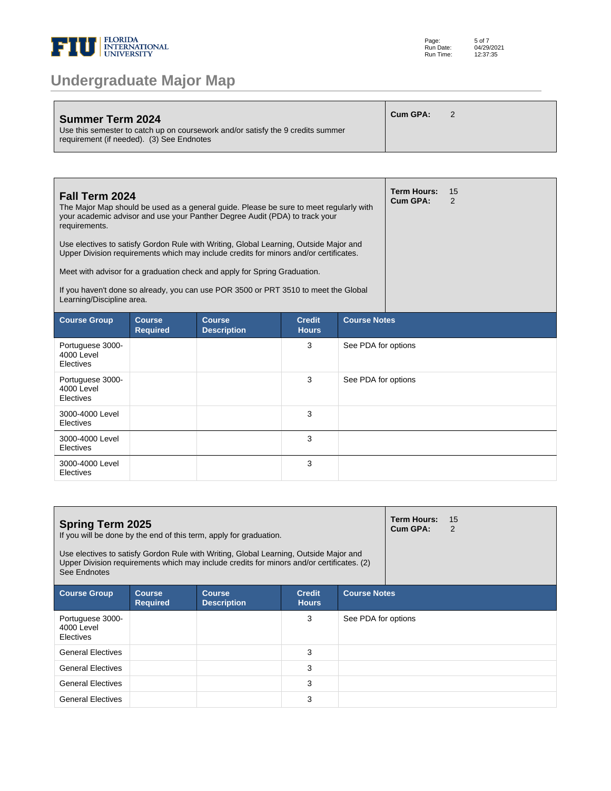

| Summer Term 2024<br>Use this semester to catch up on coursework and/or satisfy the 9 credits summer<br>requirement (if needed). (3) See Endnotes | Cum GPA: |  |
|--------------------------------------------------------------------------------------------------------------------------------------------------|----------|--|
|                                                                                                                                                  |          |  |

| Fall Term 2024<br>The Major Map should be used as a general guide. Please be sure to meet regularly with<br>your academic advisor and use your Panther Degree Audit (PDA) to track your<br>requirements.<br>Use electives to satisfy Gordon Rule with Writing, Global Learning, Outside Major and<br>Upper Division requirements which may include credits for minors and/or certificates.<br>Meet with advisor for a graduation check and apply for Spring Graduation.<br>If you haven't done so already, you can use POR 3500 or PRT 3510 to meet the Global<br>Learning/Discipline area. |                                  |                                     |                               |                     | <b>Term Hours:</b><br>Cum GPA: | 15<br>2 |
|---------------------------------------------------------------------------------------------------------------------------------------------------------------------------------------------------------------------------------------------------------------------------------------------------------------------------------------------------------------------------------------------------------------------------------------------------------------------------------------------------------------------------------------------------------------------------------------------|----------------------------------|-------------------------------------|-------------------------------|---------------------|--------------------------------|---------|
| <b>Course Group</b>                                                                                                                                                                                                                                                                                                                                                                                                                                                                                                                                                                         | <b>Course</b><br><b>Required</b> | <b>Course</b><br><b>Description</b> | <b>Credit</b><br><b>Hours</b> | <b>Course Notes</b> |                                |         |
| Portuguese 3000-<br>4000 Level<br>Electives                                                                                                                                                                                                                                                                                                                                                                                                                                                                                                                                                 |                                  |                                     | 3                             | See PDA for options |                                |         |
| Portuguese 3000-<br>4000 Level<br>Electives                                                                                                                                                                                                                                                                                                                                                                                                                                                                                                                                                 |                                  |                                     | 3                             | See PDA for options |                                |         |
| 3000-4000 Level<br>Electives                                                                                                                                                                                                                                                                                                                                                                                                                                                                                                                                                                |                                  |                                     | 3                             |                     |                                |         |
| 3000-4000 Level<br>Electives                                                                                                                                                                                                                                                                                                                                                                                                                                                                                                                                                                |                                  |                                     | 3                             |                     |                                |         |
| 3000-4000 Level<br>Electives                                                                                                                                                                                                                                                                                                                                                                                                                                                                                                                                                                |                                  |                                     | 3                             |                     |                                |         |

| <b>Spring Term 2025</b><br>If you will be done by the end of this term, apply for graduation.<br>Use electives to satisfy Gordon Rule with Writing, Global Learning, Outside Major and<br>Upper Division requirements which may include credits for minors and/or certificates. (2)<br>See Endnotes |                                  |                                     |                               |                     | <b>Term Hours:</b><br>Cum GPA: | 15<br>2 |  |
|-----------------------------------------------------------------------------------------------------------------------------------------------------------------------------------------------------------------------------------------------------------------------------------------------------|----------------------------------|-------------------------------------|-------------------------------|---------------------|--------------------------------|---------|--|
| <b>Course Group</b>                                                                                                                                                                                                                                                                                 | <b>Course</b><br><b>Required</b> | <b>Course</b><br><b>Description</b> | <b>Credit</b><br><b>Hours</b> | <b>Course Notes</b> |                                |         |  |
| Portuguese 3000-<br>4000 Level<br><b>Electives</b>                                                                                                                                                                                                                                                  |                                  |                                     | 3                             | See PDA for options |                                |         |  |
| <b>General Electives</b>                                                                                                                                                                                                                                                                            |                                  |                                     | 3                             |                     |                                |         |  |
| <b>General Electives</b>                                                                                                                                                                                                                                                                            |                                  |                                     | 3                             |                     |                                |         |  |
| <b>General Electives</b>                                                                                                                                                                                                                                                                            |                                  |                                     | 3                             |                     |                                |         |  |
| <b>General Electives</b>                                                                                                                                                                                                                                                                            |                                  |                                     | 3                             |                     |                                |         |  |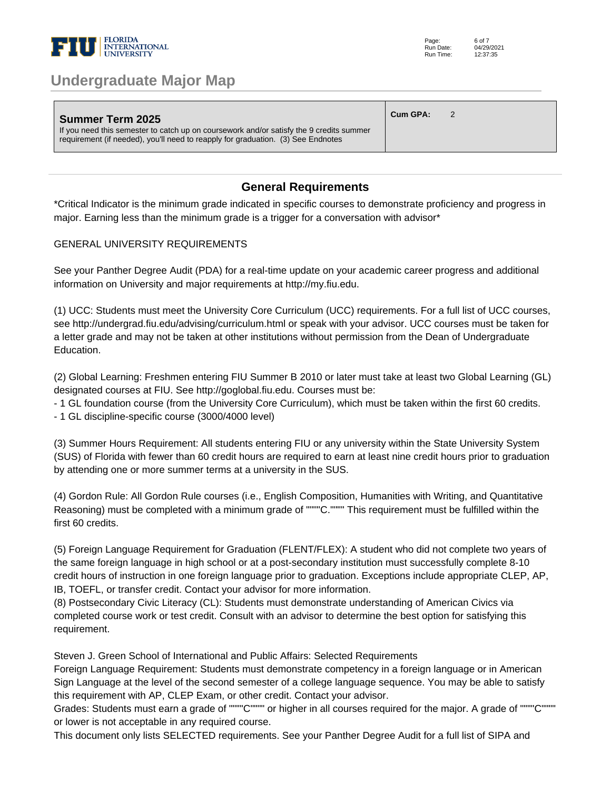

| <b>Summer Term 2025</b><br>If you need this semester to catch up on coursework and/or satisfy the 9 credits summer<br>requirement (if needed), you'll need to reapply for graduation. (3) See Endnotes | Cum GPA: |  |  |  |
|--------------------------------------------------------------------------------------------------------------------------------------------------------------------------------------------------------|----------|--|--|--|
|--------------------------------------------------------------------------------------------------------------------------------------------------------------------------------------------------------|----------|--|--|--|

### **General Requirements**

\*Critical Indicator is the minimum grade indicated in specific courses to demonstrate proficiency and progress in major. Earning less than the minimum grade is a trigger for a conversation with advisor\*

#### GENERAL UNIVERSITY REQUIREMENTS

See your Panther Degree Audit (PDA) for a real-time update on your academic career progress and additional information on University and major requirements at http://my.fiu.edu.

(1) UCC: Students must meet the University Core Curriculum (UCC) requirements. For a full list of UCC courses, see http://undergrad.fiu.edu/advising/curriculum.html or speak with your advisor. UCC courses must be taken for a letter grade and may not be taken at other institutions without permission from the Dean of Undergraduate Education.

(2) Global Learning: Freshmen entering FIU Summer B 2010 or later must take at least two Global Learning (GL) designated courses at FIU. See http://goglobal.fiu.edu. Courses must be:

- 1 GL foundation course (from the University Core Curriculum), which must be taken within the first 60 credits.

- 1 GL discipline-specific course (3000/4000 level)

(3) Summer Hours Requirement: All students entering FIU or any university within the State University System (SUS) of Florida with fewer than 60 credit hours are required to earn at least nine credit hours prior to graduation by attending one or more summer terms at a university in the SUS.

(4) Gordon Rule: All Gordon Rule courses (i.e., English Composition, Humanities with Writing, and Quantitative Reasoning) must be completed with a minimum grade of """"C."""" This requirement must be fulfilled within the first 60 credits.

(5) Foreign Language Requirement for Graduation (FLENT/FLEX): A student who did not complete two years of the same foreign language in high school or at a post-secondary institution must successfully complete 8-10 credit hours of instruction in one foreign language prior to graduation. Exceptions include appropriate CLEP, AP, IB, TOEFL, or transfer credit. Contact your advisor for more information.

(8) Postsecondary Civic Literacy (CL): Students must demonstrate understanding of American Civics via completed course work or test credit. Consult with an advisor to determine the best option for satisfying this requirement.

Steven J. Green School of International and Public Affairs: Selected Requirements

Foreign Language Requirement: Students must demonstrate competency in a foreign language or in American Sign Language at the level of the second semester of a college language sequence. You may be able to satisfy this requirement with AP, CLEP Exam, or other credit. Contact your advisor.

Grades: Students must earn a grade of """"C"""" or higher in all courses required for the major. A grade of """"C"""" or lower is not acceptable in any required course.

This document only lists SELECTED requirements. See your Panther Degree Audit for a full list of SIPA and